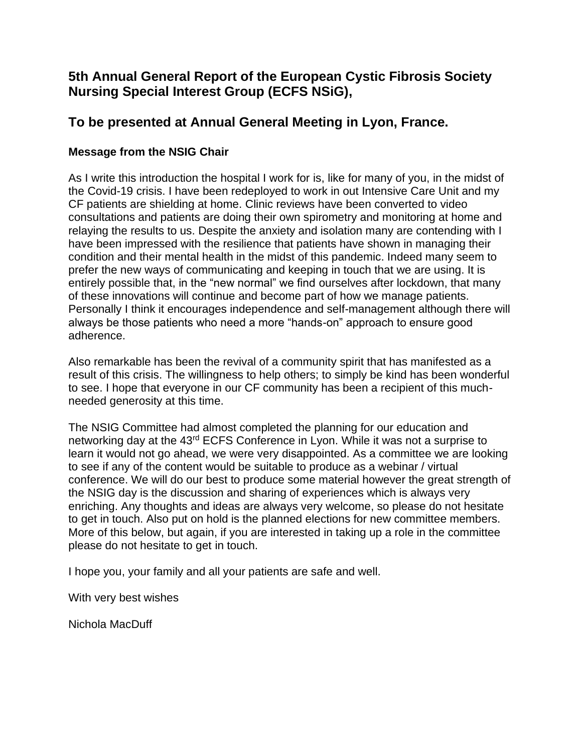# **5th Annual General Report of the European Cystic Fibrosis Society Nursing Special Interest Group (ECFS NSiG),**

# **To be presented at Annual General Meeting in Lyon, France.**

# **Message from the NSIG Chair**

As I write this introduction the hospital I work for is, like for many of you, in the midst of the Covid-19 crisis. I have been redeployed to work in out Intensive Care Unit and my CF patients are shielding at home. Clinic reviews have been converted to video consultations and patients are doing their own spirometry and monitoring at home and relaying the results to us. Despite the anxiety and isolation many are contending with I have been impressed with the resilience that patients have shown in managing their condition and their mental health in the midst of this pandemic. Indeed many seem to prefer the new ways of communicating and keeping in touch that we are using. It is entirely possible that, in the "new normal" we find ourselves after lockdown, that many of these innovations will continue and become part of how we manage patients. Personally I think it encourages independence and self-management although there will always be those patients who need a more "hands-on" approach to ensure good adherence.

Also remarkable has been the revival of a community spirit that has manifested as a result of this crisis. The willingness to help others; to simply be kind has been wonderful to see. I hope that everyone in our CF community has been a recipient of this muchneeded generosity at this time.

The NSIG Committee had almost completed the planning for our education and networking day at the 43rd ECFS Conference in Lyon. While it was not a surprise to learn it would not go ahead, we were very disappointed. As a committee we are looking to see if any of the content would be suitable to produce as a webinar / virtual conference. We will do our best to produce some material however the great strength of the NSIG day is the discussion and sharing of experiences which is always very enriching. Any thoughts and ideas are always very welcome, so please do not hesitate to get in touch. Also put on hold is the planned elections for new committee members. More of this below, but again, if you are interested in taking up a role in the committee please do not hesitate to get in touch.

I hope you, your family and all your patients are safe and well.

With very best wishes

Nichola MacDuff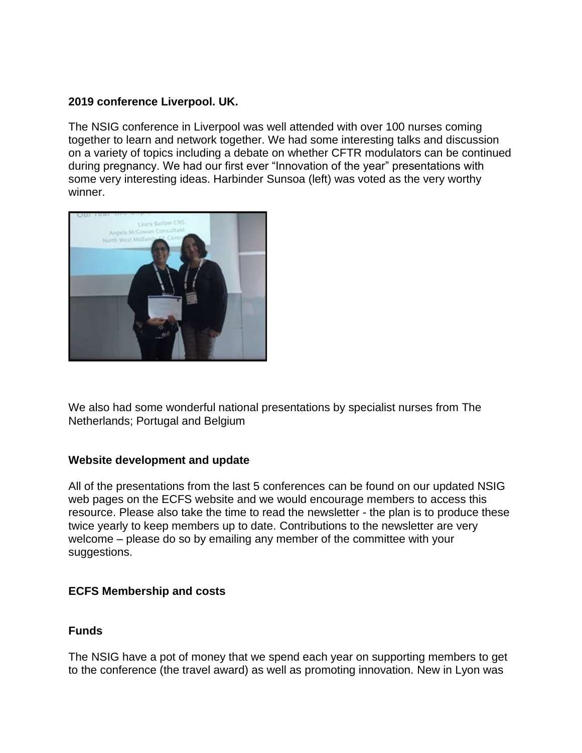## **2019 conference Liverpool. UK.**

The NSIG conference in Liverpool was well attended with over 100 nurses coming together to learn and network together. We had some interesting talks and discussion on a variety of topics including a debate on whether CFTR modulators can be continued during pregnancy. We had our first ever "Innovation of the year" presentations with some very interesting ideas. Harbinder Sunsoa (left) was voted as the very worthy winner.



We also had some wonderful national presentations by specialist nurses from The Netherlands; Portugal and Belgium

#### **Website development and update**

All of the presentations from the last 5 conferences can be found on our updated NSIG web pages on the ECFS website and we would encourage members to access this resource. Please also take the time to read the newsletter - the plan is to produce these twice yearly to keep members up to date. Contributions to the newsletter are very welcome – please do so by emailing any member of the committee with your suggestions.

## **ECFS Membership and costs**

## **Funds**

The NSIG have a pot of money that we spend each year on supporting members to get to the conference (the travel award) as well as promoting innovation. New in Lyon was